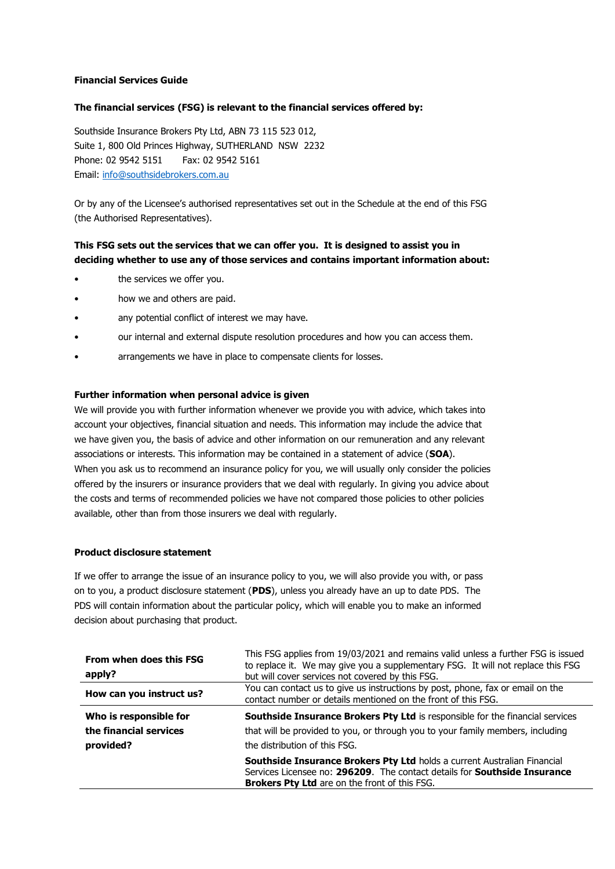### **Financial Services Guide**

## **The financial services (FSG) is relevant to the financial services offered by:**

Southside Insurance Brokers Pty Ltd, ABN 73 115 523 012, Suite 1, 800 Old Princes Highway, SUTHERLAND NSW 2232 Phone: 02 9542 5151 Fax: 02 9542 5161 Email: [info@southsidebrokers.com.au](mailto:info@southsidebrokers.com.au)

Or by any of the Licensee's authorised representatives set out in the Schedule at the end of this FSG (the Authorised Representatives).

# **This FSG sets out the services that we can offer you. It is designed to assist you in deciding whether to use any of those services and contains important information about:**

- the services we offer you.
- how we and others are paid.
- any potential conflict of interest we may have.
- our internal and external dispute resolution procedures and how you can access them.
- arrangements we have in place to compensate clients for losses.

### **Further information when personal advice is given**

We will provide you with further information whenever we provide you with advice, which takes into account your objectives, financial situation and needs. This information may include the advice that we have given you, the basis of advice and other information on our remuneration and any relevant associations or interests. This information may be contained in a statement of advice (**SOA**). When you ask us to recommend an insurance policy for you, we will usually only consider the policies offered by the insurers or insurance providers that we deal with regularly. In giving you advice about the costs and terms of recommended policies we have not compared those policies to other policies available, other than from those insurers we deal with regularly.

### **Product disclosure statement**

If we offer to arrange the issue of an insurance policy to you, we will also provide you with, or pass on to you, a product disclosure statement (**PDS**), unless you already have an up to date PDS. The PDS will contain information about the particular policy, which will enable you to make an informed decision about purchasing that product.

| From when does this FSG<br>apply?                             | This FSG applies from 19/03/2021 and remains valid unless a further FSG is issued<br>to replace it. We may give you a supplementary FSG. It will not replace this FSG<br>but will cover services not covered by this FSG. |
|---------------------------------------------------------------|---------------------------------------------------------------------------------------------------------------------------------------------------------------------------------------------------------------------------|
| How can you instruct us?                                      | You can contact us to give us instructions by post, phone, fax or email on the<br>contact number or details mentioned on the front of this FSG.                                                                           |
| Who is responsible for<br>the financial services<br>provided? | Southside Insurance Brokers Pty Ltd is responsible for the financial services<br>that will be provided to you, or through you to your family members, including<br>the distribution of this FSG.                          |
|                                                               | Southside Insurance Brokers Pty Ltd holds a current Australian Financial<br>Services Licensee no: 296209. The contact details for <b>Southside Insurance</b><br><b>Brokers Pty Ltd</b> are on the front of this FSG.      |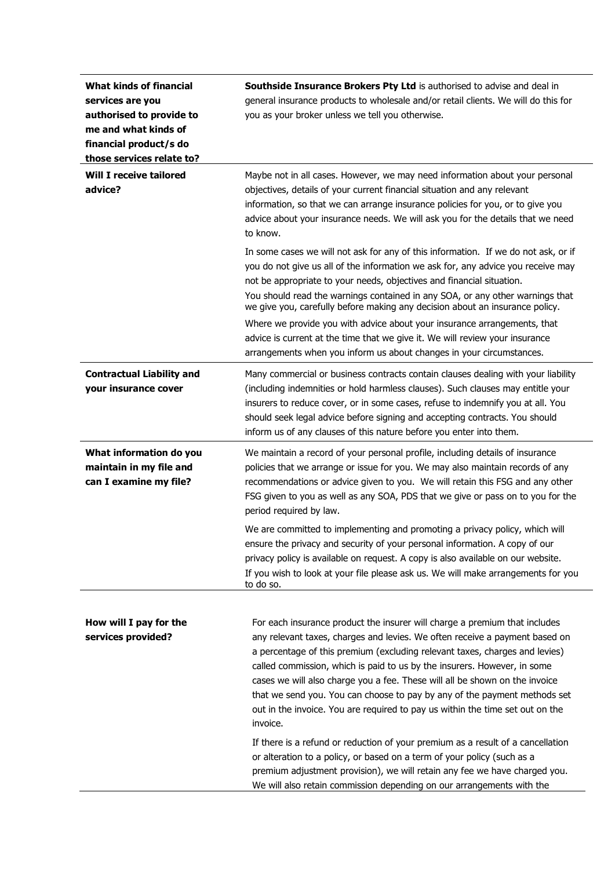| <b>What kinds of financial</b><br>services are you<br>authorised to provide to<br>me and what kinds of<br>financial product/s do<br>those services relate to? | Southside Insurance Brokers Pty Ltd is authorised to advise and deal in<br>general insurance products to wholesale and/or retail clients. We will do this for<br>you as your broker unless we tell you otherwise.                                                                                                                                                                                                                                                                                                                                                                                                                                                                                                                           |
|---------------------------------------------------------------------------------------------------------------------------------------------------------------|---------------------------------------------------------------------------------------------------------------------------------------------------------------------------------------------------------------------------------------------------------------------------------------------------------------------------------------------------------------------------------------------------------------------------------------------------------------------------------------------------------------------------------------------------------------------------------------------------------------------------------------------------------------------------------------------------------------------------------------------|
| <b>Will I receive tailored</b><br>advice?                                                                                                                     | Maybe not in all cases. However, we may need information about your personal<br>objectives, details of your current financial situation and any relevant<br>information, so that we can arrange insurance policies for you, or to give you<br>advice about your insurance needs. We will ask you for the details that we need<br>to know.                                                                                                                                                                                                                                                                                                                                                                                                   |
|                                                                                                                                                               | In some cases we will not ask for any of this information. If we do not ask, or if<br>you do not give us all of the information we ask for, any advice you receive may<br>not be appropriate to your needs, objectives and financial situation.<br>You should read the warnings contained in any SOA, or any other warnings that<br>we give you, carefully before making any decision about an insurance policy.                                                                                                                                                                                                                                                                                                                            |
|                                                                                                                                                               | Where we provide you with advice about your insurance arrangements, that<br>advice is current at the time that we give it. We will review your insurance<br>arrangements when you inform us about changes in your circumstances.                                                                                                                                                                                                                                                                                                                                                                                                                                                                                                            |
| <b>Contractual Liability and</b><br>your insurance cover                                                                                                      | Many commercial or business contracts contain clauses dealing with your liability<br>(including indemnities or hold harmless clauses). Such clauses may entitle your<br>insurers to reduce cover, or in some cases, refuse to indemnify you at all. You<br>should seek legal advice before signing and accepting contracts. You should<br>inform us of any clauses of this nature before you enter into them.                                                                                                                                                                                                                                                                                                                               |
| What information do you<br>maintain in my file and<br>can I examine my file?                                                                                  | We maintain a record of your personal profile, including details of insurance<br>policies that we arrange or issue for you. We may also maintain records of any<br>recommendations or advice given to you. We will retain this FSG and any other<br>FSG given to you as well as any SOA, PDS that we give or pass on to you for the<br>period required by law.                                                                                                                                                                                                                                                                                                                                                                              |
|                                                                                                                                                               | We are committed to implementing and promoting a privacy policy, which will<br>ensure the privacy and security of your personal information. A copy of our<br>privacy policy is available on request. A copy is also available on our website.<br>If you wish to look at your file please ask us. We will make arrangements for you<br>to do so.                                                                                                                                                                                                                                                                                                                                                                                            |
| How will I pay for the<br>services provided?                                                                                                                  | For each insurance product the insurer will charge a premium that includes<br>any relevant taxes, charges and levies. We often receive a payment based on<br>a percentage of this premium (excluding relevant taxes, charges and levies)<br>called commission, which is paid to us by the insurers. However, in some<br>cases we will also charge you a fee. These will all be shown on the invoice<br>that we send you. You can choose to pay by any of the payment methods set<br>out in the invoice. You are required to pay us within the time set out on the<br>invoice.<br>If there is a refund or reduction of your premium as a result of a cancellation<br>or alteration to a policy, or based on a term of your policy (such as a |
|                                                                                                                                                               | premium adjustment provision), we will retain any fee we have charged you.<br>We will also retain commission depending on our arrangements with the                                                                                                                                                                                                                                                                                                                                                                                                                                                                                                                                                                                         |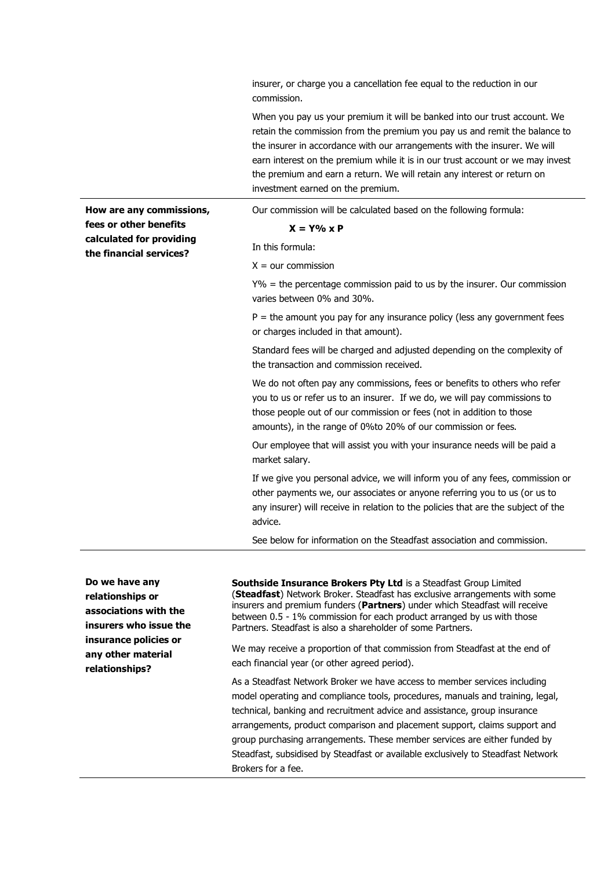insurer, or charge you a cancellation fee equal to the reduction in our commission.

When you pay us your premium it will be banked into our trust account. We retain the commission from the premium you pay us and remit the balance to the insurer in accordance with our arrangements with the insurer. We will earn interest on the premium while it is in our trust account or we may invest the premium and earn a return. We will retain any interest or return on investment earned on the premium.

**How are any commissions, fees or other benefits calculated for providing the financial services?**

Our commission will be calculated based on the following formula:

#### **X = Y% x P**

In this formula:

 $X =$  our commission

Y% = the percentage commission paid to us by the insurer. Our commission varies between 0% and 30%.

 $P =$  the amount you pay for any insurance policy (less any government fees or charges included in that amount).

Standard fees will be charged and adjusted depending on the complexity of the transaction and commission received.

We do not often pay any commissions, fees or benefits to others who refer you to us or refer us to an insurer. If we do, we will pay commissions to those people out of our commission or fees (not in addition to those amounts), in the range of 0%to 20% of our commission or fees.

Our employee that will assist you with your insurance needs will be paid a market salary.

If we give you personal advice, we will inform you of any fees, commission or other payments we, our associates or anyone referring you to us (or us to any insurer) will receive in relation to the policies that are the subject of the advice.

See below for information on the Steadfast association and commission.

**Do we have any relationships or associations with the insurers who issue the insurance policies or any other material relationships?**

**Southside Insurance Brokers Pty Ltd** is a Steadfast Group Limited (**Steadfast**) Network Broker. Steadfast has exclusive arrangements with some insurers and premium funders (**Partners**) under which Steadfast will receive between 0.5 - 1% commission for each product arranged by us with those Partners. Steadfast is also a shareholder of some Partners.

We may receive a proportion of that commission from Steadfast at the end of each financial year (or other agreed period).

As a Steadfast Network Broker we have access to member services including model operating and compliance tools, procedures, manuals and training, legal, technical, banking and recruitment advice and assistance, group insurance arrangements, product comparison and placement support, claims support and group purchasing arrangements. These member services are either funded by Steadfast, subsidised by Steadfast or available exclusively to Steadfast Network Brokers for a fee.